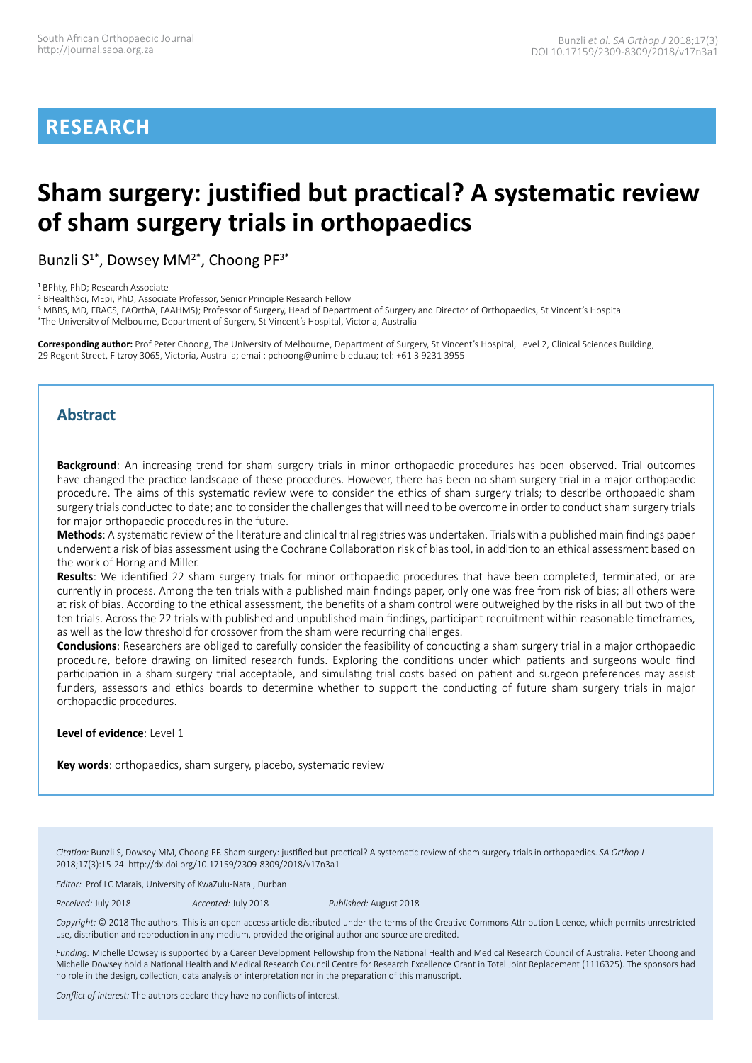# **RESEARCH**

# **Sham surgery: justified but practical? A systematic review of sham surgery trials in orthopaedics**

Bunzli  $S^{1*}$ , Dowsey MM<sup>2\*</sup>, Choong PF<sup>3\*</sup>

<sup>1</sup> BPhty, PhD; Research Associate

2 BHealthSci, MEpi, PhD; Associate Professor, Senior Principle Research Fellow

<sup>3</sup> MBBS, MD, FRACS, FAOrthA, FAAHMS); Professor of Surgery, Head of Department of Surgery and Director of Orthopaedics, St Vincent's Hospital \* The University of Melbourne, Department of Surgery, St Vincent's Hospital, Victoria, Australia

**Corresponding author:** Prof Peter Choong, The University of Melbourne, Department of Surgery, St Vincent's Hospital, Level 2, Clinical Sciences Building, 29 Regent Street, Fitzroy 3065, Victoria, Australia; email: pchoong@unimelb.edu.au; tel: +61 3 9231 3955

## **Abstract**

**Background**: An increasing trend for sham surgery trials in minor orthopaedic procedures has been observed. Trial outcomes have changed the practice landscape of these procedures. However, there has been no sham surgery trial in a major orthopaedic procedure. The aims of this systematic review were to consider the ethics of sham surgery trials; to describe orthopaedic sham surgery trials conducted to date; and to consider the challenges that will need to be overcome in order to conduct sham surgery trials for major orthopaedic procedures in the future.

**Methods**: A systematic review of the literature and clinical trial registries was undertaken. Trials with a published main findings paper underwent a risk of bias assessment using the Cochrane Collaboration risk of bias tool, in addition to an ethical assessment based on the work of Horng and Miller.

**Results**: We identified 22 sham surgery trials for minor orthopaedic procedures that have been completed, terminated, or are currently in process. Among the ten trials with a published main findings paper, only one was free from risk of bias; all others were at risk of bias. According to the ethical assessment, the benefits of a sham control were outweighed by the risks in all but two of the ten trials. Across the 22 trials with published and unpublished main findings, participant recruitment within reasonable timeframes, as well as the low threshold for crossover from the sham were recurring challenges.

**Conclusions**: Researchers are obliged to carefully consider the feasibility of conducting a sham surgery trial in a major orthopaedic procedure, before drawing on limited research funds. Exploring the conditions under which patients and surgeons would find participation in a sham surgery trial acceptable, and simulating trial costs based on patient and surgeon preferences may assist funders, assessors and ethics boards to determine whether to support the conducting of future sham surgery trials in major orthopaedic procedures.

**Level of evidence**: Level 1

**Key words**: orthopaedics, sham surgery, placebo, systematic review

*Citation:* Bunzli S, Dowsey MM, Choong PF. Sham surgery: justified but practical? A systematic review of sham surgery trials in orthopaedics. *SA Orthop J* 2018;17(3):15-24. http://dx.doi.org/10.17159/2309-8309/2018/v17n3a1

*Editor:* Prof LC Marais, University of KwaZulu-Natal, Durban

*Received:* July 2018 *Accepted:* July 2018 *Published:* August 2018

*Copyright:* © 2018 The authors. This is an open-access article distributed under the terms of the Creative Commons Attribution Licence, which permits unrestricted use, distribution and reproduction in any medium, provided the original author and source are credited.

*Funding:* Michelle Dowsey is supported by a Career Development Fellowship from the National Health and Medical Research Council of Australia. Peter Choong and Michelle Dowsey hold a National Health and Medical Research Council Centre for Research Excellence Grant in Total Joint Replacement (1116325). The sponsors had no role in the design, collection, data analysis or interpretation nor in the preparation of this manuscript.

*Conflict of interest:* The authors declare they have no conflicts of interest.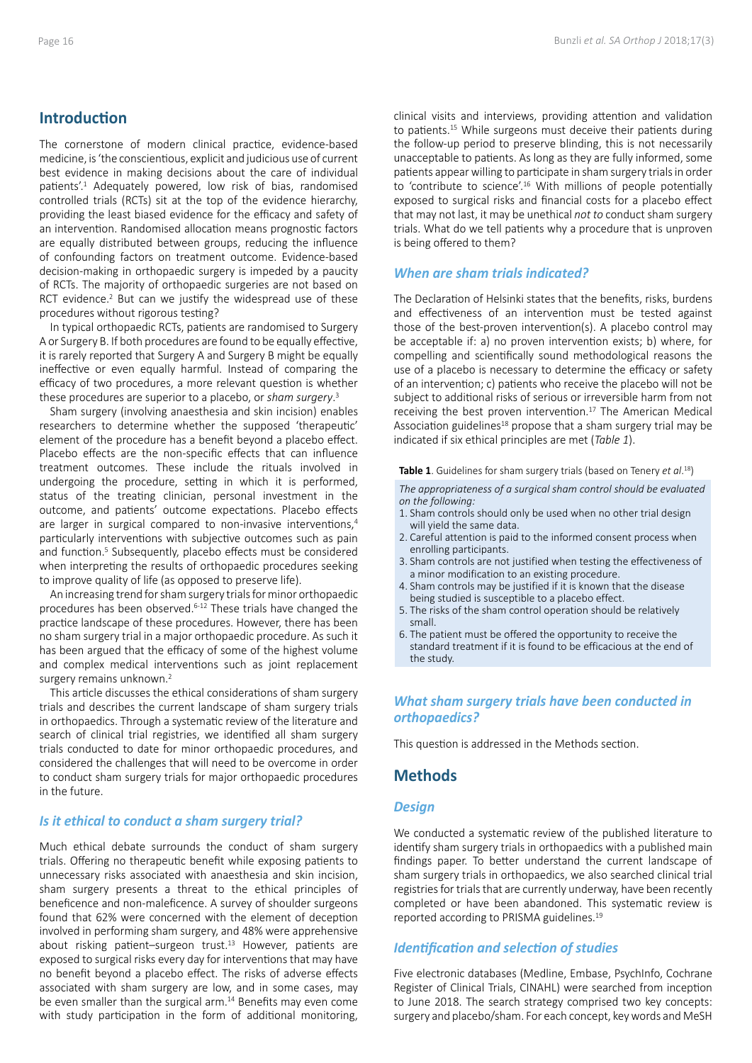## **Introduction**

The cornerstone of modern clinical practice, evidence-based medicine, is 'the conscientious, explicit and judicious use of current best evidence in making decisions about the care of individual patients'.<sup>1</sup> Adequately powered, low risk of bias, randomised controlled trials (RCTs) sit at the top of the evidence hierarchy, providing the least biased evidence for the efficacy and safety of an intervention. Randomised allocation means prognostic factors are equally distributed between groups, reducing the influence of confounding factors on treatment outcome. Evidence-based decision-making in orthopaedic surgery is impeded by a paucity of RCTs. The majority of orthopaedic surgeries are not based on RCT evidence.<sup>2</sup> But can we justify the widespread use of these procedures without rigorous testing?

In typical orthopaedic RCTs, patients are randomised to Surgery A or Surgery B. If both procedures are found to be equally effective, it is rarely reported that Surgery A and Surgery B might be equally ineffective or even equally harmful. Instead of comparing the efficacy of two procedures, a more relevant question is whether these procedures are superior to a placebo, or *sham surgery*. 3

Sham surgery (involving anaesthesia and skin incision) enables researchers to determine whether the supposed 'therapeutic' element of the procedure has a benefit beyond a placebo effect. Placebo effects are the non-specific effects that can influence treatment outcomes. These include the rituals involved in undergoing the procedure, setting in which it is performed, status of the treating clinician, personal investment in the outcome, and patients' outcome expectations. Placebo effects are larger in surgical compared to non-invasive interventions,<sup>4</sup> particularly interventions with subjective outcomes such as pain and function.<sup>5</sup> Subsequently, placebo effects must be considered when interpreting the results of orthopaedic procedures seeking to improve quality of life (as opposed to preserve life).

An increasing trend for sham surgery trials for minor orthopaedic procedures has been observed.6-12 These trials have changed the practice landscape of these procedures. However, there has been no sham surgery trial in a major orthopaedic procedure. As such it has been argued that the efficacy of some of the highest volume and complex medical interventions such as joint replacement surgery remains unknown.<sup>2</sup>

This article discusses the ethical considerations of sham surgery trials and describes the current landscape of sham surgery trials in orthopaedics. Through a systematic review of the literature and search of clinical trial registries, we identified all sham surgery trials conducted to date for minor orthopaedic procedures, and considered the challenges that will need to be overcome in order to conduct sham surgery trials for major orthopaedic procedures in the future.

#### *Is it ethical to conduct a sham surgery trial?*

Much ethical debate surrounds the conduct of sham surgery trials. Offering no therapeutic benefit while exposing patients to unnecessary risks associated with anaesthesia and skin incision, sham surgery presents a threat to the ethical principles of beneficence and non-maleficence. A survey of shoulder surgeons found that 62% were concerned with the element of deception involved in performing sham surgery, and 48% were apprehensive about risking patient–surgeon trust. $13$  However, patients are exposed to surgical risks every day for interventions that may have no benefit beyond a placebo effect. The risks of adverse effects associated with sham surgery are low, and in some cases, may be even smaller than the surgical arm.<sup>14</sup> Benefits may even come with study participation in the form of additional monitoring, clinical visits and interviews, providing attention and validation to patients.15 While surgeons must deceive their patients during the follow-up period to preserve blinding, this is not necessarily unacceptable to patients. As long as they are fully informed, some patients appear willing to participate in sham surgery trials in order to 'contribute to science'.16 With millions of people potentially exposed to surgical risks and financial costs for a placebo effect that may not last, it may be unethical *not to* conduct sham surgery trials. What do we tell patients why a procedure that is unproven is being offered to them?

## *When are sham trials indicated?*

The Declaration of Helsinki states that the benefits, risks, burdens and effectiveness of an intervention must be tested against those of the best-proven intervention(s). A placebo control may be acceptable if: a) no proven intervention exists; b) where, for compelling and scientifically sound methodological reasons the use of a placebo is necessary to determine the efficacy or safety of an intervention; c) patients who receive the placebo will not be subject to additional risks of serious or irreversible harm from not receiving the best proven intervention.<sup>17</sup> The American Medical Association guidelines<sup>18</sup> propose that a sham surgery trial may be indicated if six ethical principles are met (*Table 1*).

**Table 1**. Guidelines for sham surgery trials (based on Tenery *et al*. 18)

*The appropriateness of a surgical sham control should be evaluated on the following:*

- 1. Sham controls should only be used when no other trial design will yield the same data.
- 2. Careful attention is paid to the informed consent process when enrolling participants.
- 3. Sham controls are not justified when testing the effectiveness of a minor modification to an existing procedure.
- 4. Sham controls may be justified if it is known that the disease being studied is susceptible to a placebo effect.
- 5. The risks of the sham control operation should be relatively small.
- 6. The patient must be offered the opportunity to receive the standard treatment if it is found to be efficacious at the end of the study.

## *What sham surgery trials have been conducted in orthopaedics?*

This question is addressed in the Methods section.

## **Methods**

#### *Design*

We conducted a systematic review of the published literature to identify sham surgery trials in orthopaedics with a published main findings paper. To better understand the current landscape of sham surgery trials in orthopaedics, we also searched clinical trial registries for trials that are currently underway, have been recently completed or have been abandoned. This systematic review is reported according to PRISMA guidelines.19

#### *Identification and selection of studies*

Five electronic databases (Medline, Embase, PsychInfo, Cochrane Register of Clinical Trials, CINAHL) were searched from inception to June 2018. The search strategy comprised two key concepts: surgery and placebo/sham. For each concept, key words and MeSH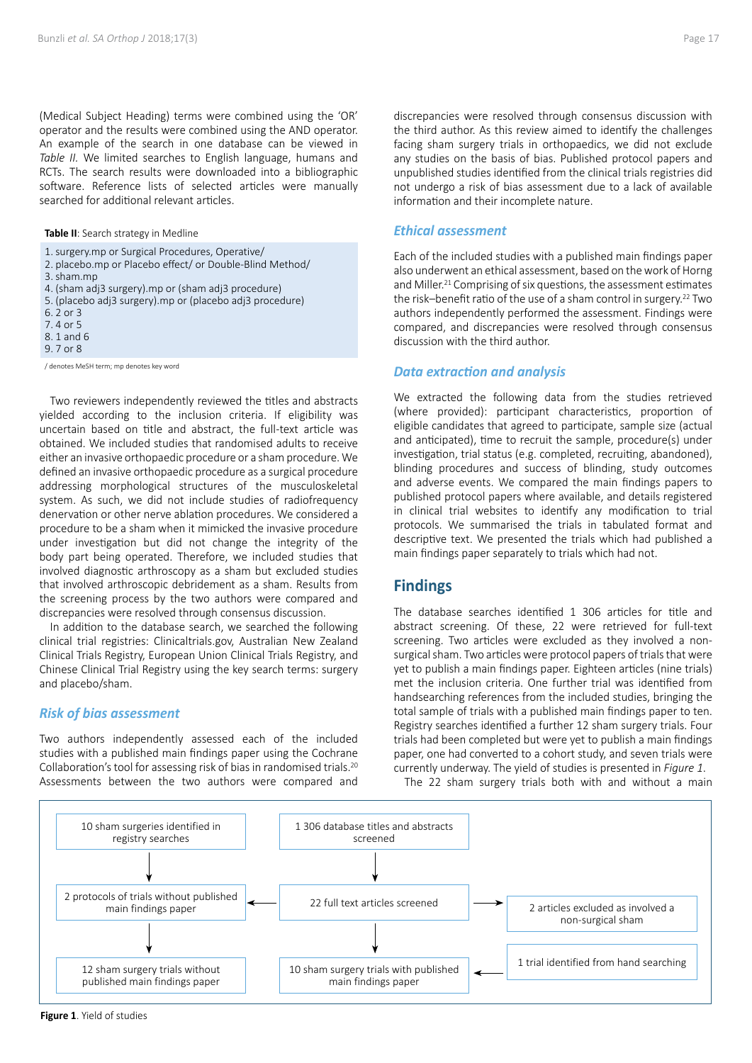(Medical Subject Heading) terms were combined using the 'OR' operator and the results were combined using the AND operator. An example of the search in one database can be viewed in *Table II.* We limited searches to English language, humans and RCTs. The search results were downloaded into a bibliographic software. Reference lists of selected articles were manually searched for additional relevant articles.

**Table II**: Search strategy in Medline

- 1.surgery.mp or Surgical Procedures, Operative/
- 2. placebo.mp or Placebo effect/ or Double-Blind Method/
- 3.sham.mp
- 4. (sham adj3 surgery).mp or (sham adj3 procedure)
- 5. (placebo adj3 surgery).mp or (placebo adj3 procedure)
- 6. 2 or 3
- 7. 4 or 5
- 8. 1 and 6
- 9. 7 or 8

/ denotes MeSH term; mp denotes key word

Two reviewers independently reviewed the titles and abstracts yielded according to the inclusion criteria. If eligibility was uncertain based on title and abstract, the full-text article was obtained. We included studies that randomised adults to receive either an invasive orthopaedic procedure or a sham procedure. We defined an invasive orthopaedic procedure as a surgical procedure addressing morphological structures of the musculoskeletal system. As such, we did not include studies of radiofrequency denervation or other nerve ablation procedures. We considered a procedure to be a sham when it mimicked the invasive procedure under investigation but did not change the integrity of the body part being operated. Therefore, we included studies that involved diagnostic arthroscopy as a sham but excluded studies that involved arthroscopic debridement as a sham. Results from the screening process by the two authors were compared and discrepancies were resolved through consensus discussion.

In addition to the database search, we searched the following clinical trial registries: Clinicaltrials.gov, Australian New Zealand Clinical Trials Registry, European Union Clinical Trials Registry, and Chinese Clinical Trial Registry using the key search terms: surgery and placebo/sham.

#### *Risk of bias assessment*

Two authors independently assessed each of the included studies with a published main findings paper using the Cochrane Collaboration's tool for assessing risk of bias in randomised trials.20 Assessments between the two authors were compared and discrepancies were resolved through consensus discussion with the third author. As this review aimed to identify the challenges facing sham surgery trials in orthopaedics, we did not exclude any studies on the basis of bias. Published protocol papers and unpublished studies identified from the clinical trials registries did not undergo a risk of bias assessment due to a lack of available information and their incomplete nature.

#### *Ethical assessment*

Each of the included studies with a published main findings paper also underwent an ethical assessment, based on the work of Horng and Miller.<sup>21</sup> Comprising of six questions, the assessment estimates the risk–benefit ratio of the use of a sham control in surgery.22 Two authors independently performed the assessment. Findings were compared, and discrepancies were resolved through consensus discussion with the third author.

#### *Data extraction and analysis*

We extracted the following data from the studies retrieved (where provided): participant characteristics, proportion of eligible candidates that agreed to participate, sample size (actual and anticipated), time to recruit the sample, procedure(s) under investigation, trial status (e.g. completed, recruiting, abandoned), blinding procedures and success of blinding, study outcomes and adverse events. We compared the main findings papers to published protocol papers where available, and details registered in clinical trial websites to identify any modification to trial protocols. We summarised the trials in tabulated format and descriptive text. We presented the trials which had published a main findings paper separately to trials which had not.

## **Findings**

The database searches identified 1 306 articles for title and abstract screening. Of these, 22 were retrieved for full-text screening. Two articles were excluded as they involved a nonsurgical sham. Two articles were protocol papers of trials that were yet to publish a main findings paper. Eighteen articles (nine trials) met the inclusion criteria. One further trial was identified from handsearching references from the included studies, bringing the total sample of trials with a published main findings paper to ten. Registry searches identified a further 12 sham surgery trials. Four trials had been completed but were yet to publish a main findings paper, one had converted to a cohort study, and seven trials were currently underway. The yield of studies is presented in *Figure 1*.

The 22 sham surgery trials both with and without a main



**Figure 1**. Yield of studies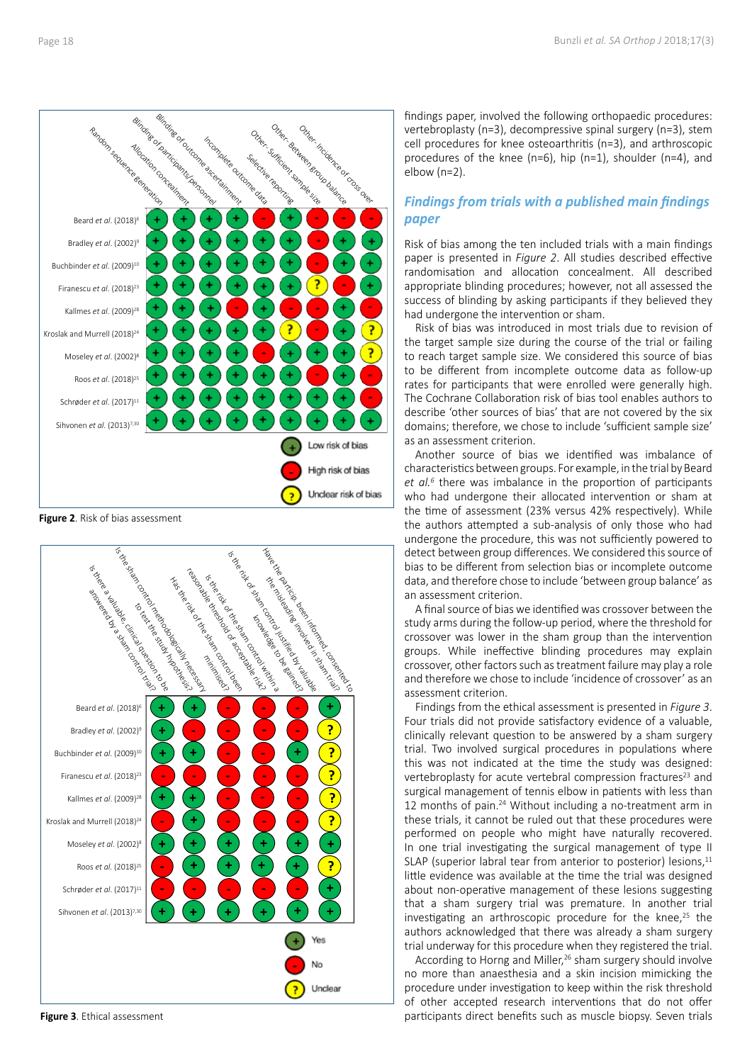

**Figure 2**. Risk of bias assessment



**Figure 3**. Ethical assessment

findings paper, involved the following orthopaedic procedures: vertebroplasty (n=3), decompressive spinal surgery (n=3), stem cell procedures for knee osteoarthritis (n=3), and arthroscopic procedures of the knee (n=6), hip (n=1), shoulder (n=4), and elbow (n=2).

## *Findings from trials with a published main findings paper*

Risk of bias among the ten included trials with a main findings paper is presented in *Figure 2*. All studies described effective randomisation and allocation concealment. All described appropriate blinding procedures; however, not all assessed the success of blinding by asking participants if they believed they had undergone the intervention or sham.

Risk of bias was introduced in most trials due to revision of the target sample size during the course of the trial or failing to reach target sample size. We considered this source of bias to be different from incomplete outcome data as follow-up rates for participants that were enrolled were generally high. The Cochrane Collaboration risk of bias tool enables authors to describe 'other sources of bias' that are not covered by the six domains; therefore, we chose to include 'sufficient sample size' as an assessment criterion.

Another source of bias we identified was imbalance of characteristics between groups. For example, in the trial by Beard *et al.<sup>6</sup>* there was imbalance in the proportion of participants who had undergone their allocated intervention or sham at the time of assessment (23% versus 42% respectively). While the authors attempted a sub-analysis of only those who had undergone the procedure, this was not sufficiently powered to detect between group differences. We considered this source of bias to be different from selection bias or incomplete outcome data, and therefore chose to include 'between group balance' as an assessment criterion.

A final source of bias we identified was crossover between the study arms during the follow-up period, where the threshold for crossover was lower in the sham group than the intervention groups. While ineffective blinding procedures may explain crossover, other factors such as treatment failure may play a role and therefore we chose to include 'incidence of crossover' as an assessment criterion.

Findings from the ethical assessment is presented in *Figure 3*. Four trials did not provide satisfactory evidence of a valuable, clinically relevant question to be answered by a sham surgery trial. Two involved surgical procedures in populations where this was not indicated at the time the study was designed: vertebroplasty for acute vertebral compression fractures<sup>23</sup> and surgical management of tennis elbow in patients with less than 12 months of pain.24 Without including a no-treatment arm in these trials, it cannot be ruled out that these procedures were performed on people who might have naturally recovered. In one trial investigating the surgical management of type II SLAP (superior labral tear from anterior to posterior) lesions,<sup>11</sup> little evidence was available at the time the trial was designed about non-operative management of these lesions suggesting that a sham surgery trial was premature. In another trial investigating an arthroscopic procedure for the knee, $25$  the authors acknowledged that there was already a sham surgery trial underway for this procedure when they registered the trial.

According to Horng and Miller,<sup>26</sup> sham surgery should involve no more than anaesthesia and a skin incision mimicking the procedure under investigation to keep within the risk threshold of other accepted research interventions that do not offer participants direct benefits such as muscle biopsy. Seven trials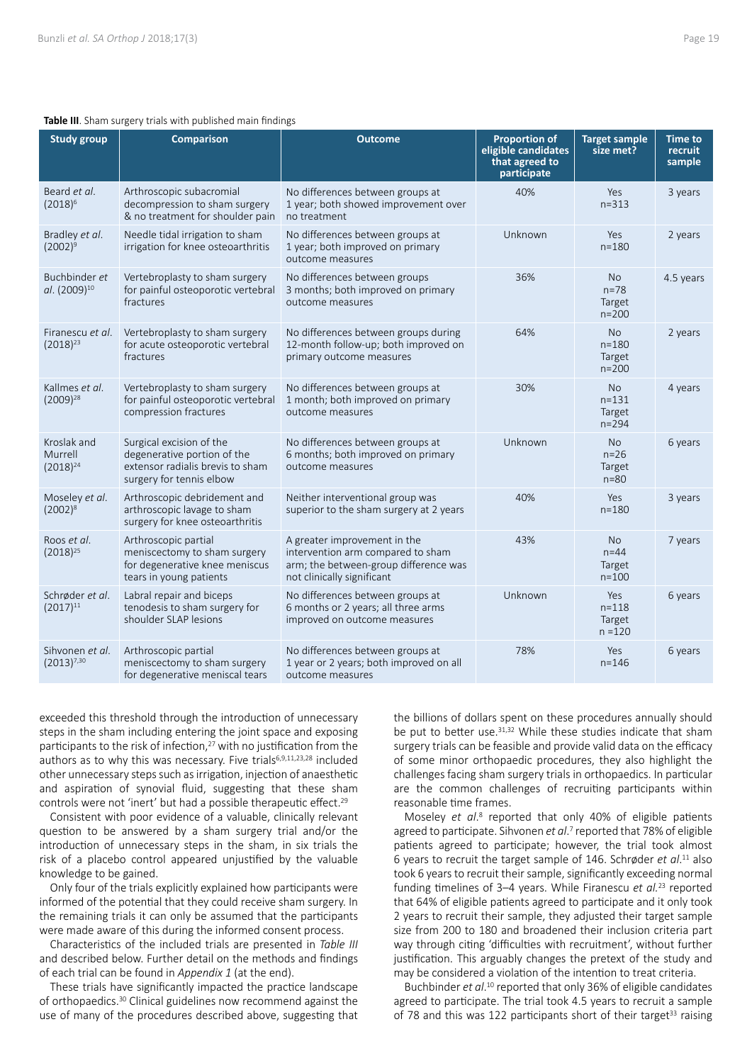#### **Table III**. Sham surgery trials with published main findings

| <b>Study group</b>                        | <b>Comparison</b>                                                                                                       | <b>Outcome</b>                                                                                                                           | <b>Proportion of</b><br>eligible candidates<br>that agreed to<br>participate | <b>Target sample</b><br>size met?             | <b>Time to</b><br>recruit<br>sample |
|-------------------------------------------|-------------------------------------------------------------------------------------------------------------------------|------------------------------------------------------------------------------------------------------------------------------------------|------------------------------------------------------------------------------|-----------------------------------------------|-------------------------------------|
| Beard et al.<br>$(2018)^6$                | Arthroscopic subacromial<br>decompression to sham surgery<br>& no treatment for shoulder pain                           | No differences between groups at<br>1 year; both showed improvement over<br>no treatment                                                 | 40%                                                                          | Yes<br>$n = 313$                              | 3 years                             |
| Bradley et al.<br>$(2002)^9$              | Needle tidal irrigation to sham<br>irrigation for knee osteoarthritis                                                   | No differences between groups at<br>1 year; both improved on primary<br>outcome measures                                                 | Unknown                                                                      | Yes<br>$n = 180$                              | 2 years                             |
| Buchbinder et<br>al. (2009) <sup>10</sup> | Vertebroplasty to sham surgery<br>for painful osteoporotic vertebral<br>fractures                                       | No differences between groups<br>3 months; both improved on primary<br>outcome measures                                                  | 36%                                                                          | No.<br>$n = 78$<br>Target<br>$n = 200$        | 4.5 years                           |
| Firanescu et al.<br>$(2018)^{23}$         | Vertebroplasty to sham surgery<br>for acute osteoporotic vertebral<br>fractures                                         | No differences between groups during<br>12-month follow-up; both improved on<br>primary outcome measures                                 | 64%                                                                          | <b>No</b><br>$n = 180$<br>Target<br>$n = 200$ | 2 years                             |
| Kallmes et al.<br>$(2009)^{28}$           | Vertebroplasty to sham surgery<br>for painful osteoporotic vertebral<br>compression fractures                           | No differences between groups at<br>1 month; both improved on primary<br>outcome measures                                                | 30%                                                                          | <b>No</b><br>$n = 131$<br>Target<br>$n = 294$ | 4 years                             |
| Kroslak and<br>Murrell<br>$(2018)^{24}$   | Surgical excision of the<br>degenerative portion of the<br>extensor radialis brevis to sham<br>surgery for tennis elbow | No differences between groups at<br>6 months; both improved on primary<br>outcome measures                                               | Unknown                                                                      | <b>No</b><br>$n = 26$<br>Target<br>$n = 80$   | 6 years                             |
| Moseley et al.<br>$(2002)^{8}$            | Arthroscopic debridement and<br>arthroscopic lavage to sham<br>surgery for knee osteoarthritis                          | Neither interventional group was<br>superior to the sham surgery at 2 years                                                              | 40%                                                                          | Yes<br>$n = 180$                              | 3 years                             |
| Roos et al.<br>$(2018)^{25}$              | Arthroscopic partial<br>meniscectomy to sham surgery<br>for degenerative knee meniscus<br>tears in young patients       | A greater improvement in the<br>intervention arm compared to sham<br>arm; the between-group difference was<br>not clinically significant | 43%                                                                          | <b>No</b><br>$n=44$<br>Target<br>$n = 100$    | 7 years                             |
| Schrøder et al.<br>$(2017)^{11}$          | Labral repair and biceps<br>tenodesis to sham surgery for<br>shoulder SLAP lesions                                      | No differences between groups at<br>6 months or 2 years; all three arms<br>improved on outcome measures                                  | Unknown                                                                      | Yes<br>$n = 118$<br>Target<br>$n = 120$       | 6 years                             |
| Sihvonen et al.<br>$(2013)^{7,30}$        | Arthroscopic partial<br>meniscectomy to sham surgery<br>for degenerative meniscal tears                                 | No differences between groups at<br>1 year or 2 years; both improved on all<br>outcome measures                                          | 78%                                                                          | Yes<br>$n = 146$                              | 6 years                             |

exceeded this threshold through the introduction of unnecessary steps in the sham including entering the joint space and exposing participants to the risk of infection,<sup>27</sup> with no justification from the authors as to why this was necessary. Five trials<sup>6,9,11,23,28</sup> included other unnecessary steps such as irrigation, injection of anaesthetic and aspiration of synovial fluid, suggesting that these sham controls were not 'inert' but had a possible therapeutic effect.<sup>29</sup>

Consistent with poor evidence of a valuable, clinically relevant question to be answered by a sham surgery trial and/or the introduction of unnecessary steps in the sham, in six trials the risk of a placebo control appeared unjustified by the valuable knowledge to be gained.

Only four of the trials explicitly explained how participants were informed of the potential that they could receive sham surgery. In the remaining trials it can only be assumed that the participants were made aware of this during the informed consent process.

Characteristics of the included trials are presented in *Table III* and described below. Further detail on the methods and findings of each trial can be found in *Appendix 1* (at the end).

These trials have significantly impacted the practice landscape of orthopaedics.30 Clinical guidelines now recommend against the use of many of the procedures described above, suggesting that the billions of dollars spent on these procedures annually should be put to better use.31,32 While these studies indicate that sham surgery trials can be feasible and provide valid data on the efficacy of some minor orthopaedic procedures, they also highlight the challenges facing sham surgery trials in orthopaedics. In particular are the common challenges of recruiting participants within reasonable time frames.

Moseley *et al*. 8 reported that only 40% of eligible patients agreed to participate. Sihvonen et al.<sup>7</sup> reported that 78% of eligible patients agreed to participate; however, the trial took almost 6 years to recruit the target sample of 146. Schrøder *et al*. 11 also took 6 years to recruit their sample, significantly exceeding normal funding timelines of 3–4 years. While Firanescu *et al.*<sup>23</sup> reported that 64% of eligible patients agreed to participate and it only took 2 years to recruit their sample, they adjusted their target sample size from 200 to 180 and broadened their inclusion criteria part way through citing 'difficulties with recruitment', without further justification. This arguably changes the pretext of the study and may be considered a violation of the intention to treat criteria.

Buchbinder *et al*. 10 reported that only 36% of eligible candidates agreed to participate. The trial took 4.5 years to recruit a sample of 78 and this was 122 participants short of their target<sup>33</sup> raising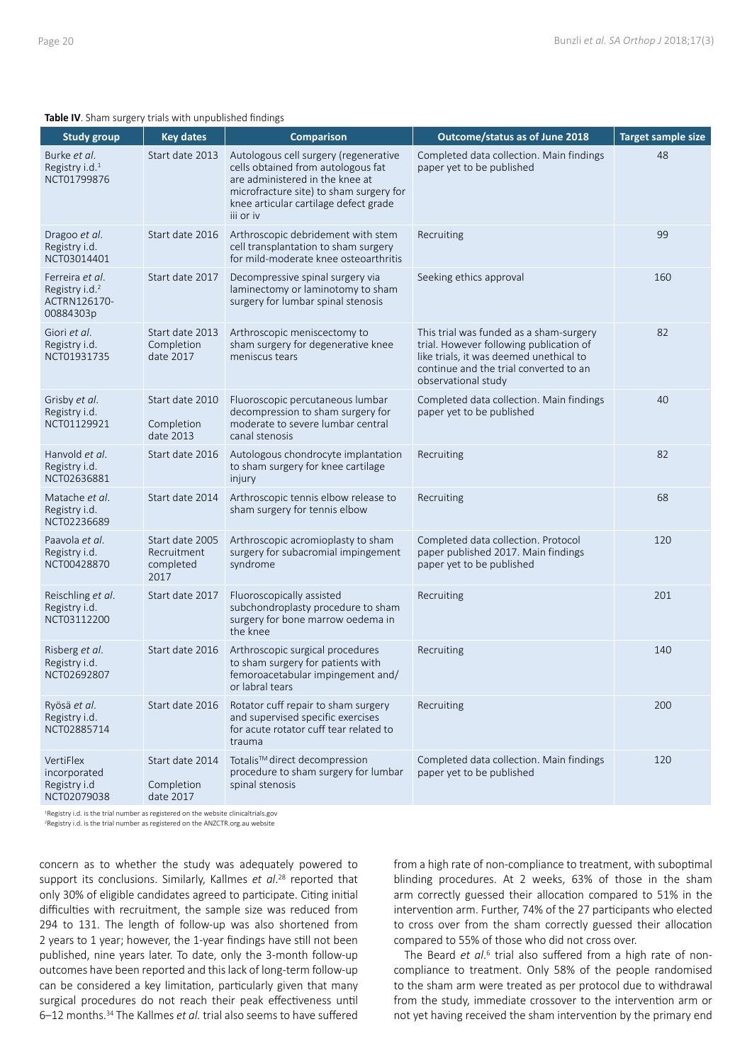#### **Table IV**. Sham surgery trials with unpublished findings

| <b>Study group</b>                                                         | <b>Key dates</b>                                    | <b>Comparison</b>                                                                                                                                                                                               | Outcome/status as of June 2018                                                                                                                                                                 | <b>Target sample size</b> |
|----------------------------------------------------------------------------|-----------------------------------------------------|-----------------------------------------------------------------------------------------------------------------------------------------------------------------------------------------------------------------|------------------------------------------------------------------------------------------------------------------------------------------------------------------------------------------------|---------------------------|
| Burke et al.<br>Registry i.d. <sup>1</sup><br>NCT01799876                  | Start date 2013                                     | Autologous cell surgery (regenerative<br>cells obtained from autologous fat<br>are administered in the knee at<br>microfracture site) to sham surgery for<br>knee articular cartilage defect grade<br>iii or iv | Completed data collection. Main findings<br>paper yet to be published                                                                                                                          | 48                        |
| Dragoo et al.<br>Registry i.d.<br>NCT03014401                              | Start date 2016                                     | Arthroscopic debridement with stem<br>cell transplantation to sham surgery<br>for mild-moderate knee osteoarthritis                                                                                             | Recruiting                                                                                                                                                                                     | 99                        |
| Ferreira et al.<br>Registry i.d. <sup>2</sup><br>ACTRN126170-<br>00884303p | Start date 2017                                     | Decompressive spinal surgery via<br>laminectomy or laminotomy to sham<br>surgery for lumbar spinal stenosis                                                                                                     | Seeking ethics approval                                                                                                                                                                        | 160                       |
| Giori et al.<br>Registry i.d.<br>NCT01931735                               | Start date 2013<br>Completion<br>date 2017          | Arthroscopic meniscectomy to<br>sham surgery for degenerative knee<br>meniscus tears                                                                                                                            | This trial was funded as a sham-surgery<br>trial. However following publication of<br>like trials, it was deemed unethical to<br>continue and the trial converted to an<br>observational study | 82                        |
| Grisby et al.<br>Registry i.d.<br>NCT01129921                              | Start date 2010<br>Completion<br>date 2013          | Fluoroscopic percutaneous lumbar<br>decompression to sham surgery for<br>moderate to severe lumbar central<br>canal stenosis                                                                                    | Completed data collection. Main findings<br>paper yet to be published                                                                                                                          | 40                        |
| Hanvold et al.<br>Registry i.d.<br>NCT02636881                             | Start date 2016                                     | Autologous chondrocyte implantation<br>to sham surgery for knee cartilage<br>injury                                                                                                                             | Recruiting                                                                                                                                                                                     | 82                        |
| Matache et al.<br>Registry i.d.<br>NCT02236689                             | Start date 2014                                     | Arthroscopic tennis elbow release to<br>sham surgery for tennis elbow                                                                                                                                           | Recruiting                                                                                                                                                                                     | 68                        |
| Paavola et al.<br>Registry i.d.<br>NCT00428870                             | Start date 2005<br>Recruitment<br>completed<br>2017 | Arthroscopic acromioplasty to sham<br>surgery for subacromial impingement<br>syndrome                                                                                                                           | Completed data collection. Protocol<br>paper published 2017. Main findings<br>paper yet to be published                                                                                        | 120                       |
| Reischling et al.<br>Registry i.d.<br>NCT03112200                          | Start date 2017                                     | Fluoroscopically assisted<br>subchondroplasty procedure to sham<br>surgery for bone marrow oedema in<br>the knee                                                                                                | Recruiting                                                                                                                                                                                     | 201                       |
| Risberg et al.<br>Registry i.d.<br>NCT02692807                             | Start date 2016                                     | Arthroscopic surgical procedures<br>to sham surgery for patients with<br>femoroacetabular impingement and/<br>or labral tears                                                                                   | Recruiting                                                                                                                                                                                     | 140                       |
| Ryösä et al.<br>Registry i.d.<br>NCT02885714                               | Start date 2016                                     | Rotator cuff repair to sham surgery<br>and supervised specific exercises<br>for acute rotator cuff tear related to<br>trauma                                                                                    | Recruiting                                                                                                                                                                                     | 200                       |
| VertiFlex<br>incorporated<br>Registry i.d<br>NCT02079038                   | Start date 2014<br>Completion<br>date 2017          | Totalis™ direct decompression<br>procedure to sham surgery for lumbar<br>spinal stenosis                                                                                                                        | Completed data collection. Main findings<br>paper yet to be published                                                                                                                          | 120                       |

<sup>1</sup>Registry i.d. is the trial number as registered on the website clinicaltrials.gov

2Registry i.d. is the trial number as registered on the ANZCTR.org.au website

concern as to whether the study was adequately powered to support its conclusions. Similarly, Kallmes *et al*. <sup>28</sup> reported that only 30% of eligible candidates agreed to participate. Citing initial difficulties with recruitment, the sample size was reduced from 294 to 131. The length of follow-up was also shortened from 2 years to 1 year; however, the 1-year findings have still not been published, nine years later. To date, only the 3-month follow-up outcomes have been reported and this lack of long-term follow-up can be considered a key limitation, particularly given that many surgical procedures do not reach their peak effectiveness until 6–12 months.34 The Kallmes *et al.* trial also seems to have suffered

from a high rate of non-compliance to treatment, with suboptimal blinding procedures. At 2 weeks, 63% of those in the sham arm correctly guessed their allocation compared to 51% in the intervention arm. Further, 74% of the 27 participants who elected to cross over from the sham correctly guessed their allocation compared to 55% of those who did not cross over.

The Beard et al.<sup>6</sup> trial also suffered from a high rate of noncompliance to treatment. Only 58% of the people randomised to the sham arm were treated as per protocol due to withdrawal from the study, immediate crossover to the intervention arm or not yet having received the sham intervention by the primary end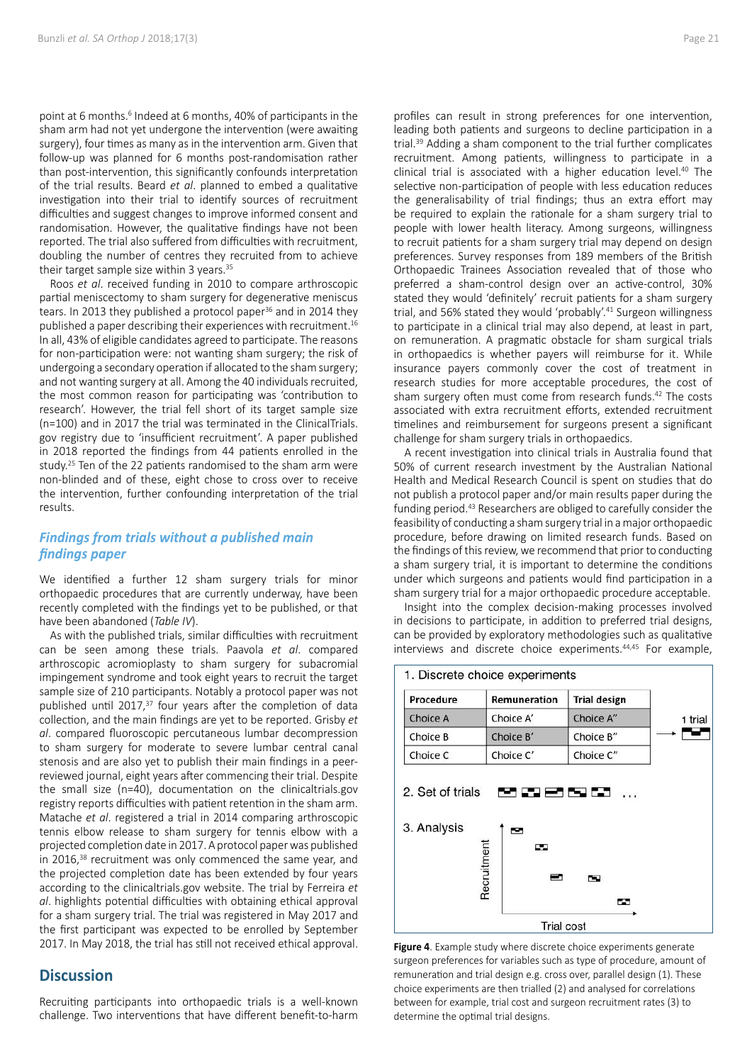point at 6 months.<sup>6</sup> Indeed at 6 months, 40% of participants in the sham arm had not yet undergone the intervention (were awaiting surgery), four times as many as in the intervention arm. Given that follow-up was planned for 6 months post-randomisation rather than post-intervention, this significantly confounds interpretation of the trial results. Beard *et al*. planned to embed a qualitative investigation into their trial to identify sources of recruitment difficulties and suggest changes to improve informed consent and randomisation. However, the qualitative findings have not been reported. The trial also suffered from difficulties with recruitment, doubling the number of centres they recruited from to achieve their target sample size within 3 years.<sup>35</sup>

Roos *et al*. received funding in 2010 to compare arthroscopic partial meniscectomy to sham surgery for degenerative meniscus tears. In 2013 they published a protocol paper<sup>36</sup> and in 2014 they published a paper describing their experiences with recruitment.16 In all, 43% of eligible candidates agreed to participate. The reasons for non-participation were: not wanting sham surgery; the risk of undergoing a secondary operation if allocated to the sham surgery; and not wanting surgery at all. Among the 40 individuals recruited, the most common reason for participating was 'contribution to research'. However, the trial fell short of its target sample size (n=100) and in 2017 the trial was terminated in the ClinicalTrials. gov registry due to 'insufficient recruitment'. A paper published in 2018 reported the findings from 44 patients enrolled in the study.<sup>25</sup> Ten of the 22 patients randomised to the sham arm were non-blinded and of these, eight chose to cross over to receive the intervention, further confounding interpretation of the trial results.

## *Findings from trials without a published main findings paper*

We identified a further 12 sham surgery trials for minor orthopaedic procedures that are currently underway, have been recently completed with the findings yet to be published, or that have been abandoned (*Table IV*).

As with the published trials, similar difficulties with recruitment can be seen among these trials. Paavola *et al*. compared arthroscopic acromioplasty to sham surgery for subacromial impingement syndrome and took eight years to recruit the target sample size of 210 participants. Notably a protocol paper was not published until 2017, $37$  four years after the completion of data collection, and the main findings are yet to be reported. Grisby *et al*. compared fluoroscopic percutaneous lumbar decompression to sham surgery for moderate to severe lumbar central canal stenosis and are also yet to publish their main findings in a peerreviewed journal, eight years after commencing their trial. Despite the small size (n=40), documentation on the clinicaltrials.gov registry reports difficulties with patient retention in the sham arm. Matache *et al*. registered a trial in 2014 comparing arthroscopic tennis elbow release to sham surgery for tennis elbow with a projected completion date in 2017. A protocol paper was published in 2016,<sup>38</sup> recruitment was only commenced the same year, and the projected completion date has been extended by four years according to the clinicaltrials.gov website. The trial by Ferreira *et al*. highlights potential difficulties with obtaining ethical approval for a sham surgery trial. The trial was registered in May 2017 and the first participant was expected to be enrolled by September 2017. In May 2018, the trial has still not received ethical approval.

## **Discussion**

Recruiting participants into orthopaedic trials is a well-known challenge. Two interventions that have different benefit-to-harm

profiles can result in strong preferences for one intervention, leading both patients and surgeons to decline participation in a trial.<sup>39</sup> Adding a sham component to the trial further complicates recruitment. Among patients, willingness to participate in a clinical trial is associated with a higher education level.40 The selective non-participation of people with less education reduces the generalisability of trial findings; thus an extra effort may be required to explain the rationale for a sham surgery trial to people with lower health literacy. Among surgeons, willingness to recruit patients for a sham surgery trial may depend on design preferences. Survey responses from 189 members of the British Orthopaedic Trainees Association revealed that of those who preferred a sham-control design over an active-control, 30% stated they would 'definitely' recruit patients for a sham surgery trial, and 56% stated they would 'probably'.41 Surgeon willingness to participate in a clinical trial may also depend, at least in part, on remuneration. A pragmatic obstacle for sham surgical trials in orthopaedics is whether payers will reimburse for it. While insurance payers commonly cover the cost of treatment in research studies for more acceptable procedures, the cost of sham surgery often must come from research funds.<sup>42</sup> The costs associated with extra recruitment efforts, extended recruitment timelines and reimbursement for surgeons present a significant challenge for sham surgery trials in orthopaedics.

A recent investigation into clinical trials in Australia found that 50% of current research investment by the Australian National Health and Medical Research Council is spent on studies that do not publish a protocol paper and/or main results paper during the funding period.<sup>43</sup> Researchers are obliged to carefully consider the feasibility of conducting a sham surgery trial in a major orthopaedic procedure, before drawing on limited research funds. Based on the findings of this review, we recommend that prior to conducting a sham surgery trial, it is important to determine the conditions under which surgeons and patients would find participation in a sham surgery trial for a major orthopaedic procedure acceptable.

Insight into the complex decision-making processes involved in decisions to participate, in addition to preferred trial designs, can be provided by exploratory methodologies such as qualitative interviews and discrete choice experiments.<sup>44,45</sup> For example,



**Figure 4**. Example study where discrete choice experiments generate surgeon preferences for variables such as type of procedure, amount of remuneration and trial design e.g. cross over, parallel design (1). These choice experiments are then trialled (2) and analysed for correlations between for example, trial cost and surgeon recruitment rates (3) to determine the optimal trial designs.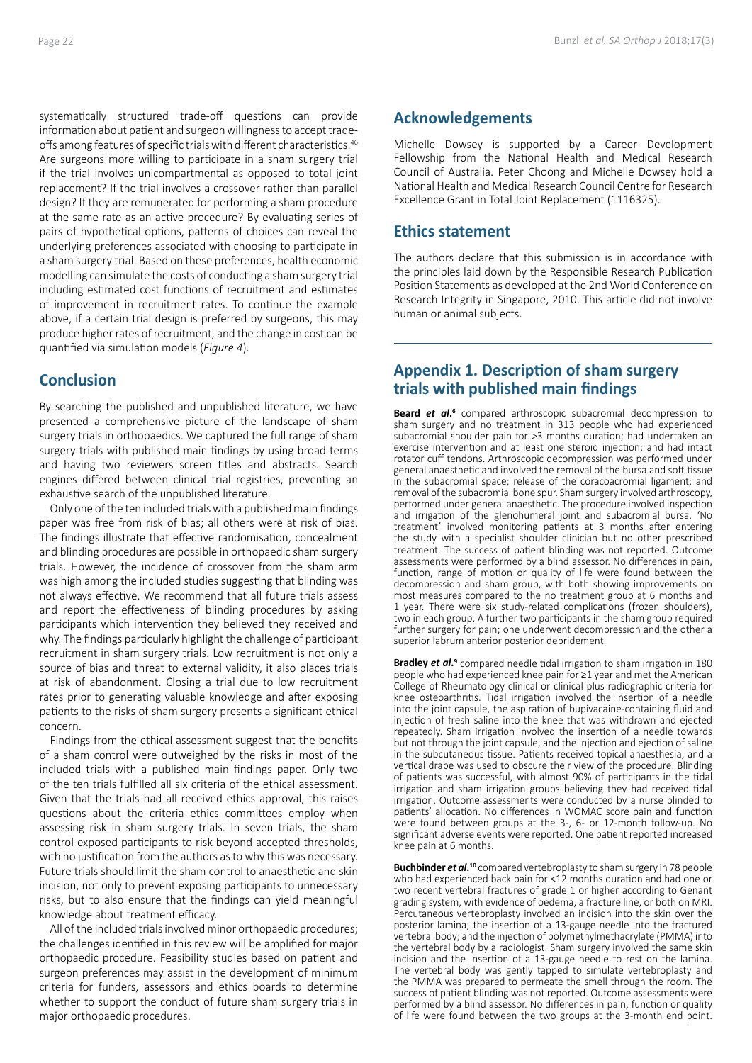systematically structured trade-off questions can provide information about patient and surgeon willingness to accept tradeoffs among features of specific trials with different characteristics.<sup>46</sup> Are surgeons more willing to participate in a sham surgery trial if the trial involves unicompartmental as opposed to total joint replacement? If the trial involves a crossover rather than parallel design? If they are remunerated for performing a sham procedure at the same rate as an active procedure? By evaluating series of pairs of hypothetical options, patterns of choices can reveal the underlying preferences associated with choosing to participate in a sham surgery trial. Based on these preferences, health economic modelling can simulate the costs of conducting a sham surgery trial including estimated cost functions of recruitment and estimates of improvement in recruitment rates. To continue the example above, if a certain trial design is preferred by surgeons, this may produce higher rates of recruitment, and the change in cost can be quantified via simulation models (*Figure 4*).

# **Conclusion**

By searching the published and unpublished literature, we have presented a comprehensive picture of the landscape of sham surgery trials in orthopaedics. We captured the full range of sham surgery trials with published main findings by using broad terms and having two reviewers screen titles and abstracts. Search engines differed between clinical trial registries, preventing an exhaustive search of the unpublished literature.

Only one of the ten included trials with a published main findings paper was free from risk of bias; all others were at risk of bias. The findings illustrate that effective randomisation, concealment and blinding procedures are possible in orthopaedic sham surgery trials. However, the incidence of crossover from the sham arm was high among the included studies suggesting that blinding was not always effective. We recommend that all future trials assess and report the effectiveness of blinding procedures by asking participants which intervention they believed they received and why. The findings particularly highlight the challenge of participant recruitment in sham surgery trials. Low recruitment is not only a source of bias and threat to external validity, it also places trials at risk of abandonment. Closing a trial due to low recruitment rates prior to generating valuable knowledge and after exposing patients to the risks of sham surgery presents a significant ethical concern.

Findings from the ethical assessment suggest that the benefits of a sham control were outweighed by the risks in most of the included trials with a published main findings paper. Only two of the ten trials fulfilled all six criteria of the ethical assessment. Given that the trials had all received ethics approval, this raises questions about the criteria ethics committees employ when assessing risk in sham surgery trials. In seven trials, the sham control exposed participants to risk beyond accepted thresholds, with no justification from the authors as to why this was necessary. Future trials should limit the sham control to anaesthetic and skin incision, not only to prevent exposing participants to unnecessary risks, but to also ensure that the findings can yield meaningful knowledge about treatment efficacy.

All of the included trials involved minor orthopaedic procedures; the challenges identified in this review will be amplified for major orthopaedic procedure. Feasibility studies based on patient and surgeon preferences may assist in the development of minimum criteria for funders, assessors and ethics boards to determine whether to support the conduct of future sham surgery trials in major orthopaedic procedures.

# **Acknowledgements**

Michelle Dowsey is supported by a Career Development Fellowship from the National Health and Medical Research Council of Australia. Peter Choong and Michelle Dowsey hold a National Health and Medical Research Council Centre for Research Excellence Grant in Total Joint Replacement (1116325).

## **Ethics statement**

The authors declare that this submission is in accordance with the principles laid down by the Responsible Research Publication Position Statements as developed at the 2nd World Conference on Research Integrity in Singapore, 2010. This article did not involve human or animal subjects.

# **Appendix 1. Description of sham surgery trials with published main findings**

Beard et al.<sup>6</sup> compared arthroscopic subacromial decompression to sham surgery and no treatment in 313 people who had experienced subacromial shoulder pain for >3 months duration; had undertaken an exercise intervention and at least one steroid injection; and had intact rotator cuff tendons. Arthroscopic decompression was performed under general anaesthetic and involved the removal of the bursa and soft tissue in the subacromial space; release of the coracoacromial ligament; and removal of the subacromial bone spur. Sham surgery involved arthroscopy, performed under general anaesthetic. The procedure involved inspection and irrigation of the glenohumeral joint and subacromial bursa. 'No treatment' involved monitoring patients at 3 months after entering the study with a specialist shoulder clinician but no other prescribed treatment. The success of patient blinding was not reported. Outcome assessments were performed by a blind assessor. No differences in pain, function, range of motion or quality of life were found between the decompression and sham group, with both showing improvements on most measures compared to the no treatment group at 6 months and 1 year. There were six study-related complications (frozen shoulders), two in each group. A further two participants in the sham group required further surgery for pain; one underwent decompression and the other a superior labrum anterior posterior debridement.

**Bradley** *et al***. <sup>9</sup>** compared needle tidal irrigation to sham irrigation in 180 people who had experienced knee pain for ≥1 year and met the American College of Rheumatology clinical or clinical plus radiographic criteria for knee osteoarthritis. Tidal irrigation involved the insertion of a needle into the joint capsule, the aspiration of bupivacaine-containing fluid and injection of fresh saline into the knee that was withdrawn and ejected repeatedly. Sham irrigation involved the insertion of a needle towards but not through the joint capsule, and the injection and ejection of saline in the subcutaneous tissue. Patients received topical anaesthesia, and a vertical drape was used to obscure their view of the procedure. Blinding of patients was successful, with almost 90% of participants in the tidal irrigation and sham irrigation groups believing they had received tidal irrigation. Outcome assessments were conducted by a nurse blinded to patients' allocation. No differences in WOMAC score pain and function were found between groups at the 3-, 6- or 12-month follow-up. No significant adverse events were reported. One patient reported increased knee pain at 6 months.

**Buchbinder** *et al***. <sup>10</sup>** compared vertebroplasty to sham surgery in 78 people who had experienced back pain for <12 months duration and had one or two recent vertebral fractures of grade 1 or higher according to Genant grading system, with evidence of oedema, a fracture line, or both on MRI. Percutaneous vertebroplasty involved an incision into the skin over the posterior lamina; the insertion of a 13-gauge needle into the fractured vertebral body; and the injection of polymethylmethacrylate (PMMA) into the vertebral body by a radiologist. Sham surgery involved the same skin incision and the insertion of a 13-gauge needle to rest on the lamina. The vertebral body was gently tapped to simulate vertebroplasty and the PMMA was prepared to permeate the smell through the room. The success of patient blinding was not reported. Outcome assessments were performed by a blind assessor. No differences in pain, function or quality of life were found between the two groups at the 3-month end point.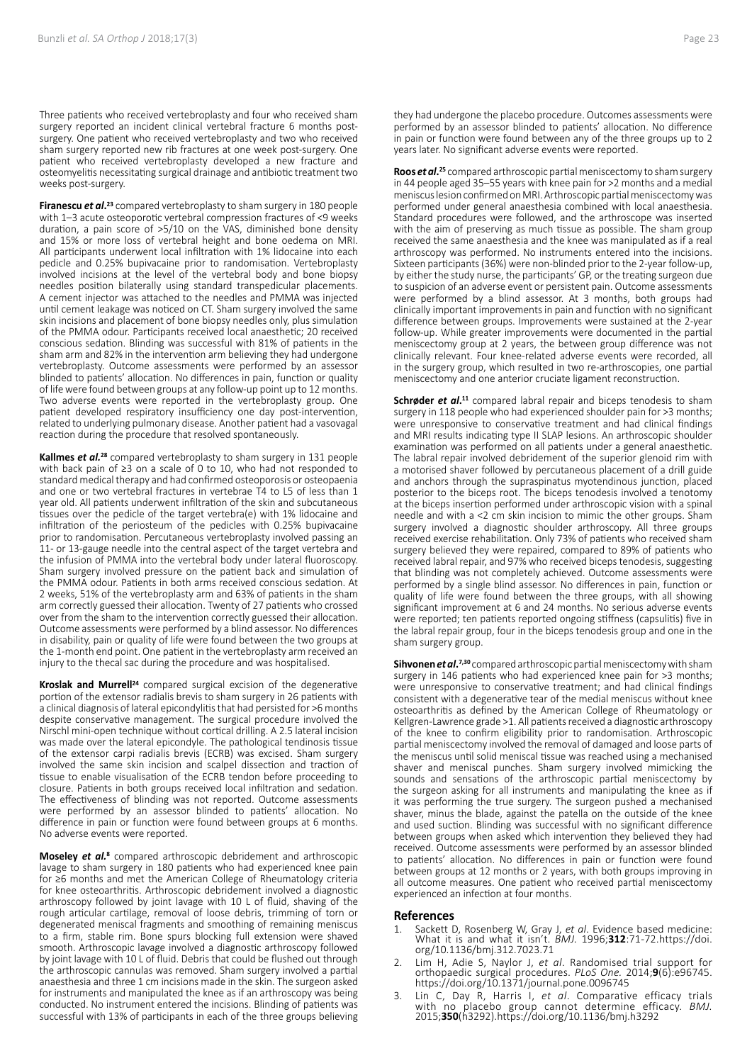Three patients who received vertebroplasty and four who received sham surgery reported an incident clinical vertebral fracture 6 months postsurgery. One patient who received vertebroplasty and two who received sham surgery reported new rib fractures at one week post-surgery. One patient who received vertebroplasty developed a new fracture and osteomyelitis necessitating surgical drainage and antibiotic treatment two weeks post-surgery.

**Firanescu** *et al***. <sup>23</sup>** compared vertebroplasty to sham surgery in 180 people with 1–3 acute osteoporotic vertebral compression fractures of <9 weeks duration, a pain score of >5/10 on the VAS, diminished bone density and 15% or more loss of vertebral height and bone oedema on MRI. All participants underwent local infiltration with 1% lidocaine into each pedicle and 0.25% bupivacaine prior to randomisation. Vertebroplasty involved incisions at the level of the vertebral body and bone biopsy needles position bilaterally using standard transpedicular placements. A cement injector was attached to the needles and PMMA was injected until cement leakage was noticed on CT. Sham surgery involved the same skin incisions and placement of bone biopsy needles only, plus simulation of the PMMA odour. Participants received local anaesthetic; 20 received conscious sedation. Blinding was successful with 81% of patients in the sham arm and 82% in the intervention arm believing they had undergone vertebroplasty. Outcome assessments were performed by an assessor blinded to patients' allocation. No differences in pain, function or quality of life were found between groups at any follow-up point up to 12 months. Two adverse events were reported in the vertebroplasty group. One patient developed respiratory insufficiency one day post-intervention, related to underlying pulmonary disease. Another patient had a vasovagal reaction during the procedure that resolved spontaneously.

**Kallmes** *et al.***28** compared vertebroplasty to sham surgery in 131 people with back pain of ≥3 on a scale of 0 to 10, who had not responded to standard medical therapy and had confirmed osteoporosis or osteopaenia and one or two vertebral fractures in vertebrae T4 to L5 of less than 1 year old. All patients underwent infiltration of the skin and subcutaneous tissues over the pedicle of the target vertebra(e) with 1% lidocaine and infiltration of the periosteum of the pedicles with 0.25% bupivacaine prior to randomisation. Percutaneous vertebroplasty involved passing an 11- or 13-gauge needle into the central aspect of the target vertebra and the infusion of PMMA into the vertebral body under lateral fluoroscopy. Sham surgery involved pressure on the patient back and simulation of the PMMA odour. Patients in both arms received conscious sedation. At 2 weeks, 51% of the vertebroplasty arm and 63% of patients in the sham arm correctly guessed their allocation. Twenty of 27 patients who crossed over from the sham to the intervention correctly guessed their allocation. Outcome assessments were performed by a blind assessor. No differences in disability, pain or quality of life were found between the two groups at the 1-month end point. One patient in the vertebroplasty arm received an injury to the thecal sac during the procedure and was hospitalised.

Kroslak and Murrell<sup>24</sup> compared surgical excision of the degenerative portion of the extensor radialis brevis to sham surgery in 26 patients with a clinical diagnosis of lateral epicondylitis that had persisted for >6 months despite conservative management. The surgical procedure involved the Nirschl mini-open technique without cortical drilling. A 2.5 lateral incision was made over the lateral epicondyle. The pathological tendinosis tissue of the extensor carpi radialis brevis (ECRB) was excised. Sham surgery involved the same skin incision and scalpel dissection and traction of tissue to enable visualisation of the ECRB tendon before proceeding to closure. Patients in both groups received local infiltration and sedation. The effectiveness of blinding was not reported. Outcome assessments were performed by an assessor blinded to patients' allocation. No difference in pain or function were found between groups at 6 months. No adverse events were reported.

**Moseley** *et al.***8** compared arthroscopic debridement and arthroscopic lavage to sham surgery in 180 patients who had experienced knee pain for ≥6 months and met the American College of Rheumatology criteria for knee osteoarthritis. Arthroscopic debridement involved a diagnostic arthroscopy followed by joint lavage with 10 L of fluid, shaving of the rough articular cartilage, removal of loose debris, trimming of torn or degenerated meniscal fragments and smoothing of remaining meniscus to a firm, stable rim. Bone spurs blocking full extension were shaved smooth. Arthroscopic lavage involved a diagnostic arthroscopy followed by joint lavage with 10 L of fluid. Debris that could be flushed out through the arthroscopic cannulas was removed. Sham surgery involved a partial anaesthesia and three 1 cm incisions made in the skin. The surgeon asked for instruments and manipulated the knee as if an arthroscopy was being conducted. No instrument entered the incisions. Blinding of patients was successful with 13% of participants in each of the three groups believing

they had undergone the placebo procedure. Outcomes assessments were performed by an assessor blinded to patients' allocation. No difference in pain or function were found between any of the three groups up to 2 years later. No significant adverse events were reported.

**Roos** *et al***. <sup>25</sup>** compared arthroscopic partial meniscectomy to sham surgery in 44 people aged 35–55 years with knee pain for >2 months and a medial meniscus lesion confirmed on MRI. Arthroscopic partial meniscectomy was performed under general anaesthesia combined with local anaesthesia. Standard procedures were followed, and the arthroscope was inserted with the aim of preserving as much tissue as possible. The sham group received the same anaesthesia and the knee was manipulated as if a real arthroscopy was performed. No instruments entered into the incisions. Sixteen participants (36%) were non-blinded prior to the 2-year follow-up, by either the study nurse, the participants' GP, or the treating surgeon due to suspicion of an adverse event or persistent pain. Outcome assessments were performed by a blind assessor. At 3 months, both groups had clinically important improvements in pain and function with no significant difference between groups. Improvements were sustained at the 2-year follow-up. While greater improvements were documented in the partial meniscectomy group at 2 years, the between group difference was not clinically relevant. Four knee-related adverse events were recorded, all in the surgery group, which resulted in two re-arthroscopies, one partial meniscectomy and one anterior cruciate ligament reconstruction.

Schrøder et al.<sup>11</sup> compared labral repair and biceps tenodesis to sham surgery in 118 people who had experienced shoulder pain for >3 months; were unresponsive to conservative treatment and had clinical findings and MRI results indicating type II SLAP lesions. An arthroscopic shoulder examination was performed on all patients under a general anaesthetic. The labral repair involved debridement of the superior glenoid rim with a motorised shaver followed by percutaneous placement of a drill guide and anchors through the supraspinatus myotendinous junction, placed posterior to the biceps root. The biceps tenodesis involved a tenotomy at the biceps insertion performed under arthroscopic vision with a spinal needle and with a <2 cm skin incision to mimic the other groups. Sham surgery involved a diagnostic shoulder arthroscopy. All three groups received exercise rehabilitation. Only 73% of patients who received sham surgery believed they were repaired, compared to 89% of patients who received labral repair, and 97% who received biceps tenodesis, suggesting that blinding was not completely achieved. Outcome assessments were performed by a single blind assessor. No differences in pain, function or quality of life were found between the three groups, with all showing significant improvement at 6 and 24 months. No serious adverse events were reported; ten patients reported ongoing stiffness (capsulitis) five in the labral repair group, four in the biceps tenodesis group and one in the sham surgery group.

**Sihvonen** *et al***. 7,30** compared arthroscopic partial meniscectomy with sham surgery in 146 patients who had experienced knee pain for >3 months; were unresponsive to conservative treatment; and had clinical findings consistent with a degenerative tear of the medial meniscus without knee osteoarthritis as defined by the American College of Rheumatology or Kellgren-Lawrence grade >1. All patients received a diagnostic arthroscopy of the knee to confirm eligibility prior to randomisation. Arthroscopic partial meniscectomy involved the removal of damaged and loose parts of the meniscus until solid meniscal tissue was reached using a mechanised shaver and meniscal punches. Sham surgery involved mimicking the sounds and sensations of the arthroscopic partial meniscectomy by the surgeon asking for all instruments and manipulating the knee as if it was performing the true surgery. The surgeon pushed a mechanised shaver, minus the blade, against the patella on the outside of the knee and used suction. Blinding was successful with no significant difference between groups when asked which intervention they believed they had received. Outcome assessments were performed by an assessor blinded to patients' allocation. No differences in pain or function were found between groups at 12 months or 2 years, with both groups improving in all outcome measures. One patient who received partial meniscectomy experienced an infection at four months.

#### **References**

- 1. Sackett D, Rosenberg W, Gray J, *et al*. Evidence based medicine: What it is and what it isn't. *BMJ.* 1996;**312**:71-72.https://doi. org/10.1136/bmj.312.7023.71
- 2. Lim H, Adie S, Naylor J, *et al*. Randomised trial support for orthopaedic surgical procedures. *PLoS One.* 2014;**9**(6):e96745. https://doi.org/10.1371/journal.pone.0096745
- 3. Lin C, Day R, Harris I, *et al*. Comparative efficacy trials with no placebo group cannot determine efficacy. *BMJ.*  2015;**350**(h3292).https://doi.org/10.1136/bmj.h3292